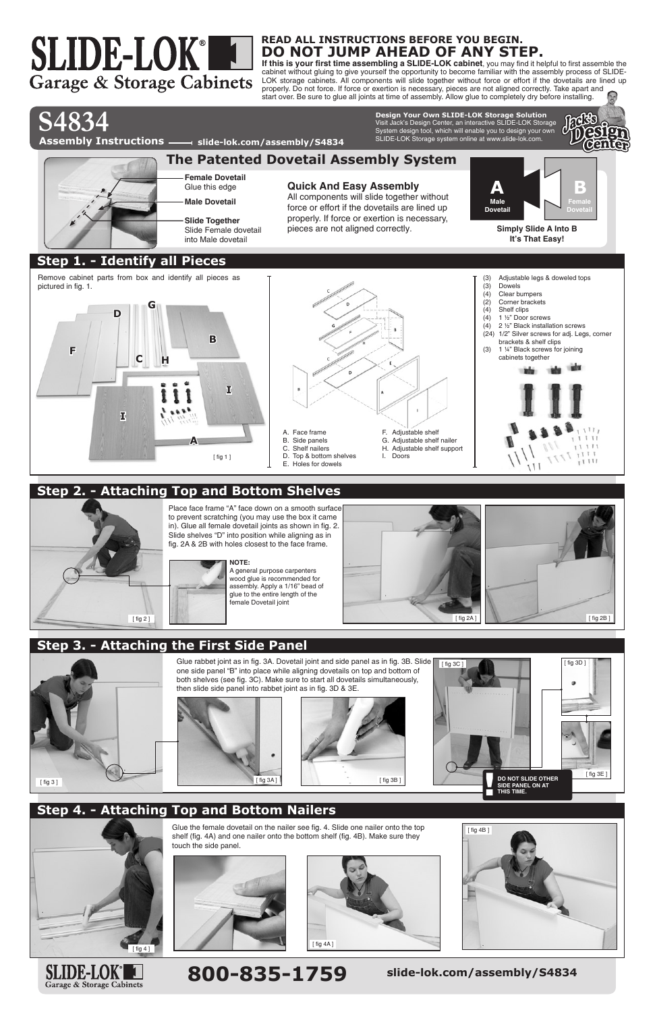**READ ALL INSTRUCTIONS BEFORE YOU BEGIN. DO NOT JUMP AHEAD OF ANY STEP.**

# **800-835-1759 slide-lok.com/assembly/S4834**

**If this is your first time assembling a SLIDE-LOK cabinet**, you may find it helpful to first assemble the cabinet without gluing to give yourself the opportunity to become familiar with the assembly process of SLIDE-LOK storage cabinets. All components will slide together without force or effort if the dovetails are lined up properly. Do not force. If force or exertion is necessary, pieces are not aligned correctly. Take apart and start over. Be sure to glue all joints at time of assembly. Allow glue to completely dry before installing.

**S4834**

SLIDE-LOK®

Garage & Storage Cabinets

A. Face frame

F. Adjustable shelf G. Adjustable shelf nailer H. Adjustable shelf support

I. Doors





## **Step 2. - Attaching Top and Bottom Shelves**



# **Step 3. - Attaching the First Side Panel**

**A** B. Side panels C. Shelf nailers D. Top & bottom shelves E. Holes for dowels [ fig 1 ]

> Glue rabbet joint as in fig. 3A. Dovetail joint and side panel as in fig. 3B. Slide one side panel "B" into place while aligning dovetails on top and bottom of both shelves (see fig. 3C). Make sure to start all dovetails simultaneously, then slide side panel into rabbet joint as in fig. 3D & 3E.

# **Step 4. - Attaching Top and Bottom Nailers**



Glue the female dovetail on the nailer see fig. 4. Slide one nailer onto the top shelf (fig. 4A) and one nailer onto the bottom shelf (fig. 4B). Make sure they touch the side panel.

Place face frame "A" face down on a smooth surface to prevent scratching (you may use the box it came in). Glue all female dovetail joints as shown in fig. 2. Slide shelves "D" into position while aligning as in fig. 2A & 2B with holes closest to the face frame.



![](_page_0_Picture_18.jpeg)

![](_page_0_Picture_13.jpeg)

![](_page_0_Figure_20.jpeg)

![](_page_0_Picture_19.jpeg)

![](_page_0_Picture_24.jpeg)

![](_page_0_Picture_25.jpeg)

![](_page_0_Picture_26.jpeg)

![](_page_0_Picture_27.jpeg)

**NOTE:**

A general purpose carpenters wood glue is recommended for assembly. Apply a 1/16" bead of glue to the entire length of the female Dovetail joint

#### Visit Jack's Design Center, an interactive SLIDE-LOK Storage System design tool, which will enable you to design your own SLIDE-LOK Storage system online at www.slide-lok.com. **Design Your Own SLIDE-LOK Storage Solution**

![](_page_0_Picture_5.jpeg)